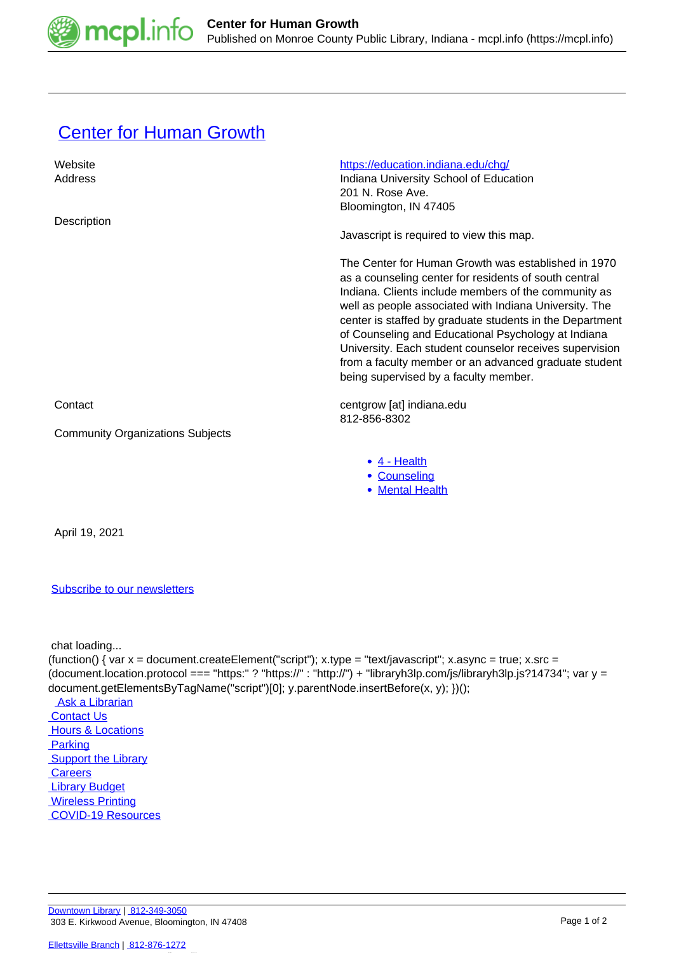

## **[Center for Human Growth](https://mcpl.info/commorg/center-human-growth)**

| Website                                 | https://education.indiana.edu/chq/                                                                                                                                                                                                                                                                                                                                                                                                                                                                             |
|-----------------------------------------|----------------------------------------------------------------------------------------------------------------------------------------------------------------------------------------------------------------------------------------------------------------------------------------------------------------------------------------------------------------------------------------------------------------------------------------------------------------------------------------------------------------|
| Address                                 | Indiana University School of Education                                                                                                                                                                                                                                                                                                                                                                                                                                                                         |
|                                         | 201 N. Rose Ave.                                                                                                                                                                                                                                                                                                                                                                                                                                                                                               |
|                                         | Bloomington, IN 47405                                                                                                                                                                                                                                                                                                                                                                                                                                                                                          |
| Description                             |                                                                                                                                                                                                                                                                                                                                                                                                                                                                                                                |
|                                         | Javascript is required to view this map.                                                                                                                                                                                                                                                                                                                                                                                                                                                                       |
|                                         | The Center for Human Growth was established in 1970<br>as a counseling center for residents of south central<br>Indiana. Clients include members of the community as<br>well as people associated with Indiana University. The<br>center is staffed by graduate students in the Department<br>of Counseling and Educational Psychology at Indiana<br>University. Each student counselor receives supervision<br>from a faculty member or an advanced graduate student<br>being supervised by a faculty member. |
| Contact                                 | centgrow [at] indiana.edu<br>812-856-8302                                                                                                                                                                                                                                                                                                                                                                                                                                                                      |
| <b>Community Organizations Subjects</b> |                                                                                                                                                                                                                                                                                                                                                                                                                                                                                                                |
|                                         | $\bullet$ 4 - Health                                                                                                                                                                                                                                                                                                                                                                                                                                                                                           |
|                                         | • Counseling                                                                                                                                                                                                                                                                                                                                                                                                                                                                                                   |
|                                         | • Mental Health                                                                                                                                                                                                                                                                                                                                                                                                                                                                                                |
|                                         |                                                                                                                                                                                                                                                                                                                                                                                                                                                                                                                |
|                                         |                                                                                                                                                                                                                                                                                                                                                                                                                                                                                                                |

April 19, 2021

## [Subscribe to our newsletters](https://mcpl.info/geninfo/subscribe-think-library-newsletter)

chat loading...

(function() { var  $x =$  document.createElement("script");  $x.$ type = "text/javascript";  $x.$ async = true;  $x.$ src = (document.location.protocol === "https:" ? "https://" : "http://") + "libraryh3lp.com/js/libraryh3lp.js?14734"; var y = document.getElementsByTagName("script")[0]; y.parentNode.insertBefore(x, y); })();

 [Ask a Librarian](https://mcpl.info/askus)  [Contact Us](https://mcpl.info/geninfo/contact-us) **Hours & Locations Parking Support the Library Careers**  [Library Budget](https://budgetnotices.in.gov/unit_lookup.aspx?ct=53000) **Wireless Printing**  [COVID-19 Resources](https://mcpl.info/geninfo/local-covid-resources)